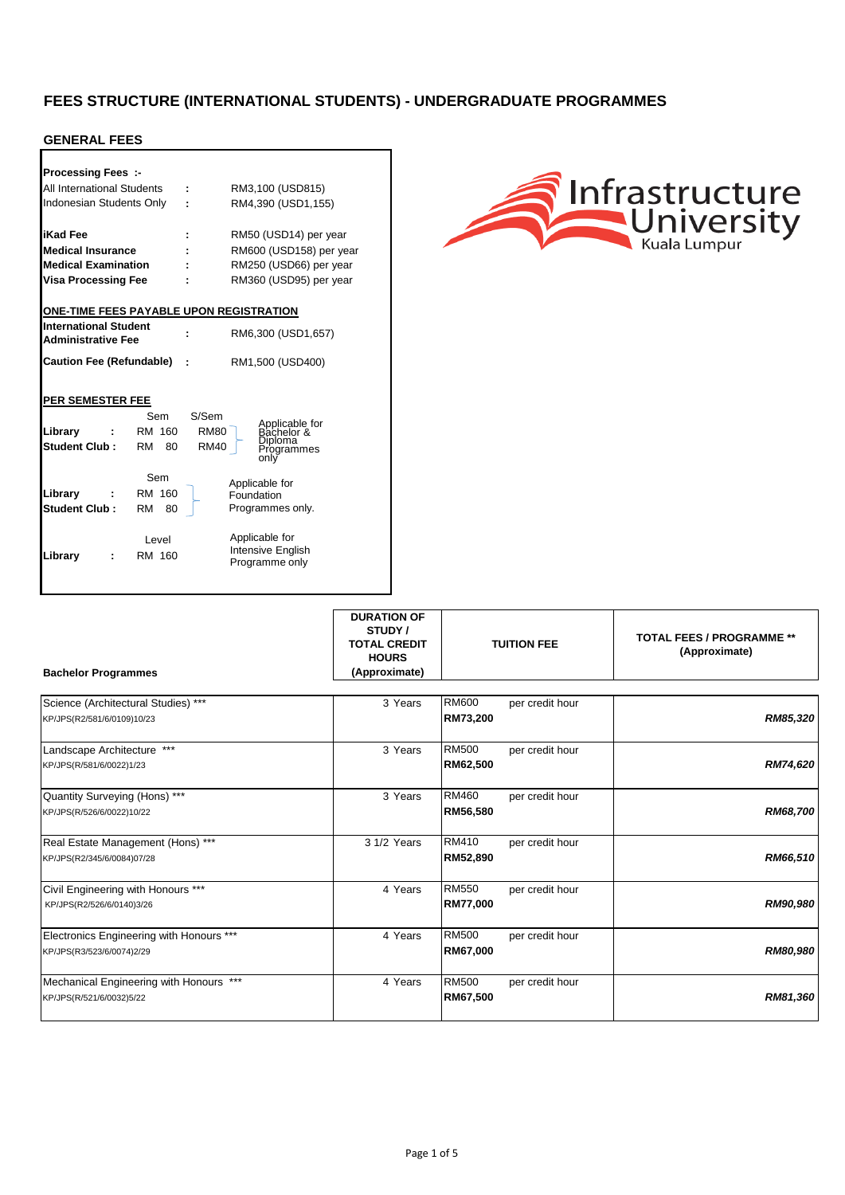### **GENERAL FEES**

| <b>Processing Fees:-</b>                       |                          |             |                         |                                     |  |
|------------------------------------------------|--------------------------|-------------|-------------------------|-------------------------------------|--|
| All International Students                     |                          |             | RM3,100 (USD815)        |                                     |  |
|                                                | Indonesian Students Only |             |                         | RM4,390 (USD1,155)                  |  |
|                                                |                          |             |                         |                                     |  |
| <b>iKad Fee</b>                                |                          | ÷           |                         | RM50 (USD14) per year               |  |
| <b>Medical Insurance</b>                       |                          |             | RM600 (USD158) per year |                                     |  |
| <b>Medical Examination</b>                     |                          |             | RM250 (USD66) per year  |                                     |  |
| Visa Processing Fee                            |                          |             | RM360 (USD95) per year  |                                     |  |
|                                                |                          |             |                         |                                     |  |
| <b>ONE-TIME FEES PAYABLE UPON REGISTRATION</b> |                          |             |                         |                                     |  |
| <b>International Student</b>                   |                          |             |                         | RM6,300 (USD1,657)                  |  |
| <b>Administrative Fee</b>                      |                          |             |                         |                                     |  |
| <b>Caution Fee (Refundable)</b>                |                          | ÷           | RM1,500 (USD400)        |                                     |  |
|                                                |                          |             |                         |                                     |  |
|                                                |                          |             |                         |                                     |  |
| PER SEMESTER FEE                               |                          |             |                         |                                     |  |
|                                                | Sem                      | S/Sem       |                         | Applicable for<br>Bachelor &        |  |
| Library                                        | RM 160                   | <b>RM80</b> |                         | <b>Diploma</b>                      |  |
| Student Club:                                  | RM<br>80                 | <b>RM40</b> |                         | Proarammes<br>onlv                  |  |
|                                                |                          |             |                         |                                     |  |
|                                                | Sem                      |             |                         | Applicable for                      |  |
| Library                                        | RM 160                   |             | Foundation              |                                     |  |
| <b>Student Club:</b>                           | RM<br>80                 |             |                         | Programmes only.                    |  |
|                                                |                          |             |                         |                                     |  |
|                                                | Level                    |             |                         | Applicable for                      |  |
| Library                                        | RM 160                   |             |                         | Intensive English<br>Programme only |  |
|                                                |                          |             |                         |                                     |  |



| <b>Bachelor Programmes</b>                                            | <b>DURATION OF</b><br>STUDY /<br><b>TOTAL CREDIT</b><br><b>HOURS</b><br>(Approximate) | <b>TUITION FEE</b>                          | <b>TOTAL FEES / PROGRAMME **</b><br>(Approximate) |
|-----------------------------------------------------------------------|---------------------------------------------------------------------------------------|---------------------------------------------|---------------------------------------------------|
| Science (Architectural Studies) ***<br>KP/JPS(R2/581/6/0109)10/23     | 3 Years                                                                               | <b>RM600</b><br>per credit hour<br>RM73,200 | RM85,320                                          |
| Landscape Architecture ***<br>KP/JPS(R/581/6/0022)1/23                | 3 Years                                                                               | <b>RM500</b><br>per credit hour<br>RM62,500 | RM74,620                                          |
| Quantity Surveying (Hons) ***<br>KP/JPS(R/526/6/0022)10/22            | 3 Years                                                                               | RM460<br>per credit hour<br>RM56,580        | RM68,700                                          |
| Real Estate Management (Hons) ***<br>KP/JPS(R2/345/6/0084)07/28       | 3 1/2 Years                                                                           | RM410<br>per credit hour<br>RM52,890        | RM66,510                                          |
| Civil Engineering with Honours ***<br>KP/JPS(R2/526/6/0140)3/26       | 4 Years                                                                               | <b>RM550</b><br>per credit hour<br>RM77,000 | RM90,980                                          |
| Electronics Engineering with Honours ***<br>KP/JPS(R3/523/6/0074)2/29 | 4 Years                                                                               | <b>RM500</b><br>per credit hour<br>RM67,000 | RM80,980                                          |
| Mechanical Engineering with Honours ***<br>KP/JPS(R/521/6/0032)5/22   | 4 Years                                                                               | RM500<br>per credit hour<br>RM67,500        | RM81,360                                          |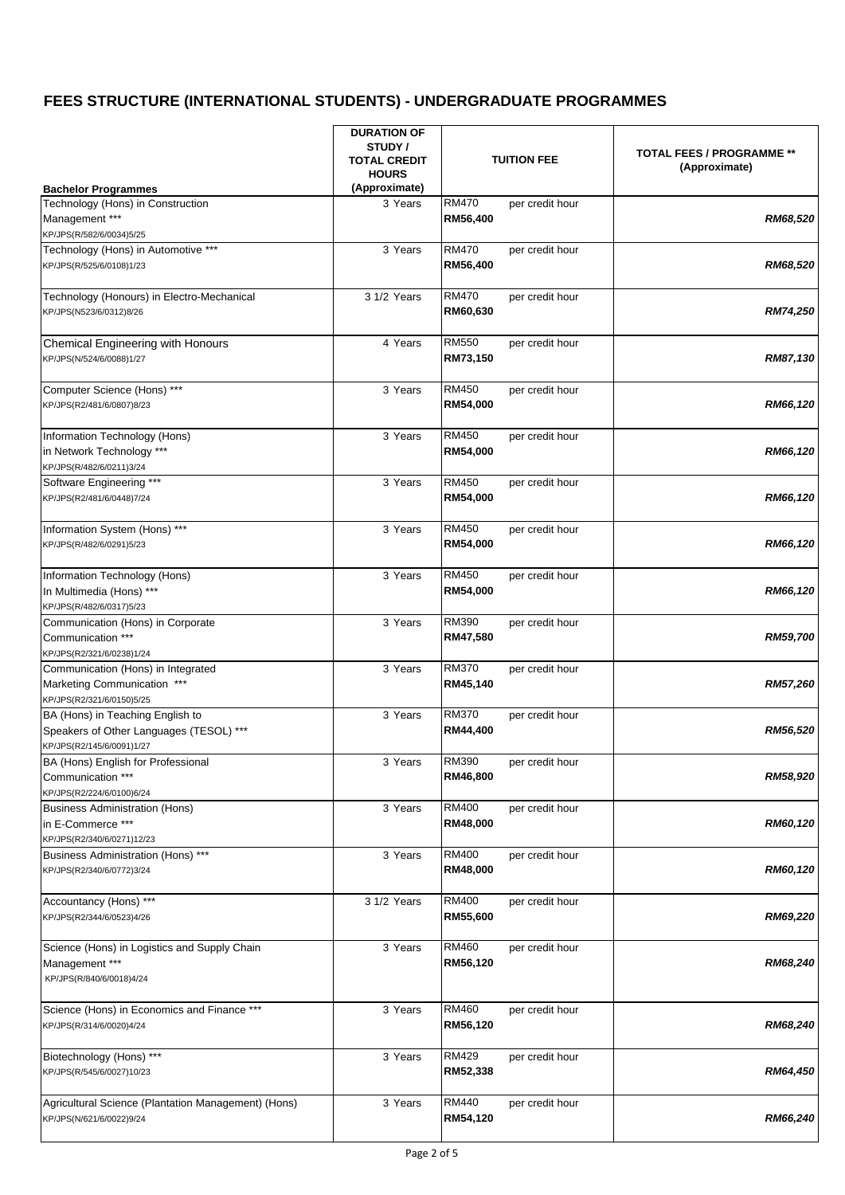| <b>Bachelor Programmes</b>                                                                               | <b>DURATION OF</b><br>STUDY /<br><b>TUITION FEE</b><br><b>TOTAL CREDIT</b><br><b>HOURS</b><br>(Approximate) |                                             | <b>TOTAL FEES / PROGRAMME **</b><br>(Approximate) |
|----------------------------------------------------------------------------------------------------------|-------------------------------------------------------------------------------------------------------------|---------------------------------------------|---------------------------------------------------|
| Technology (Hons) in Construction<br>Management ***<br>KP/JPS(R/582/6/0034)5/25                          | 3 Years                                                                                                     | RM470<br>per credit hour<br>RM56,400        | RM68,520                                          |
| Technology (Hons) in Automotive ***<br>KP/JPS(R/525/6/0108)1/23                                          | 3 Years                                                                                                     | RM470<br>per credit hour<br>RM56,400        | RM68,520                                          |
| Technology (Honours) in Electro-Mechanical<br>KP/JPS(N523/6/0312)8/26                                    | 3 1/2 Years                                                                                                 | <b>RM470</b><br>per credit hour<br>RM60,630 | <b>RM74,250</b>                                   |
| Chemical Engineering with Honours<br>KP/JPS(N/524/6/0088)1/27                                            | 4 Years                                                                                                     | <b>RM550</b><br>per credit hour<br>RM73,150 | RM87,130                                          |
| Computer Science (Hons) ***<br>KP/JPS(R2/481/6/0807)8/23                                                 | 3 Years                                                                                                     | RM450<br>per credit hour<br>RM54,000        | RM66,120                                          |
| Information Technology (Hons)<br>in Network Technology ***<br>KP/JPS(R/482/6/0211)3/24                   | 3 Years                                                                                                     | RM450<br>per credit hour<br>RM54,000        | RM66,120                                          |
| Software Engineering ***<br>KP/JPS(R2/481/6/0448)7/24                                                    | 3 Years                                                                                                     | <b>RM450</b><br>per credit hour<br>RM54,000 | RM66,120                                          |
| Information System (Hons) ***<br>KP/JPS(R/482/6/0291)5/23                                                | 3 Years                                                                                                     | RM450<br>per credit hour<br>RM54,000        | RM66,120                                          |
| Information Technology (Hons)<br>In Multimedia (Hons) ***<br>KP/JPS(R/482/6/0317)5/23                    | 3 Years                                                                                                     | RM450<br>per credit hour<br>RM54,000        | RM66,120                                          |
| Communication (Hons) in Corporate<br>Communication ***<br>KP/JPS(R2/321/6/0238)1/24                      | $\overline{3}$ Years                                                                                        | RM390<br>per credit hour<br>RM47,580        | <b>RM59,700</b>                                   |
| Communication (Hons) in Integrated<br>Marketing Communication ***<br>KP/JPS(R2/321/6/0150)5/25           | 3 Years                                                                                                     | <b>RM370</b><br>per credit hour<br>RM45,140 | <b>RM57,260</b>                                   |
| BA (Hons) in Teaching English to<br>Speakers of Other Languages (TESOL) ***<br>KP/JPS(R2/145/6/0091)1/27 | 3 Years                                                                                                     | <b>RM370</b><br>per credit hour<br>RM44,400 | RM56,520                                          |
| BA (Hons) English for Professional<br>Communication ***<br>KP/JPS(R2/224/6/0100)6/24                     | 3 Years                                                                                                     | <b>RM390</b><br>per credit hour<br>RM46,800 | RM58,920                                          |
| <b>Business Administration (Hons)</b><br>in E-Commerce ***<br>KP/JPS(R2/340/6/0271)12/23                 | 3 Years                                                                                                     | <b>RM400</b><br>per credit hour<br>RM48,000 | RM60,120                                          |
| Business Administration (Hons) ***<br>KP/JPS(R2/340/6/0772)3/24                                          | 3 Years                                                                                                     | <b>RM400</b><br>per credit hour<br>RM48,000 | RM60,120                                          |
| Accountancy (Hons) ***<br>KP/JPS(R2/344/6/0523)4/26                                                      | 3 1/2 Years                                                                                                 | RM400<br>per credit hour<br>RM55,600        | RM69,220                                          |
| Science (Hons) in Logistics and Supply Chain<br>Management ***<br>KP/JPS(R/840/6/0018)4/24               | 3 Years                                                                                                     | RM460<br>per credit hour<br>RM56,120        | RM68,240                                          |
| Science (Hons) in Economics and Finance ***<br>KP/JPS(R/314/6/0020)4/24                                  | 3 Years                                                                                                     | <b>RM460</b><br>per credit hour<br>RM56,120 | RM68,240                                          |
| Biotechnology (Hons) ***<br>KP/JPS(R/545/6/0027)10/23                                                    | 3 Years                                                                                                     | <b>RM429</b><br>per credit hour<br>RM52,338 | RM64,450                                          |
| Agricultural Science (Plantation Management) (Hons)<br>KP/JPS(N/621/6/0022)9/24                          | 3 Years                                                                                                     | RM440<br>per credit hour<br>RM54,120        | RM66,240                                          |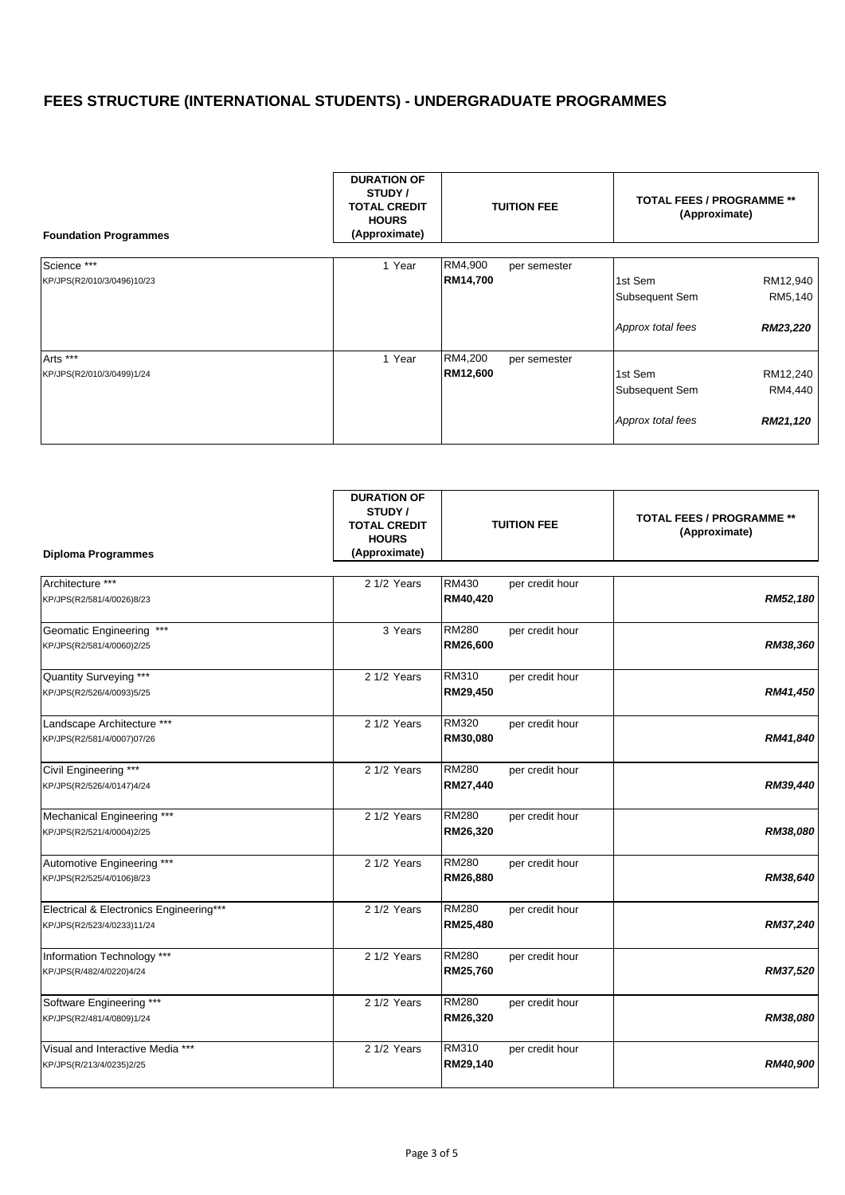| <b>Foundation Programmes</b> | <b>DURATION OF</b><br>STUDY /<br><b>TOTAL CREDIT</b><br><b>HOURS</b><br>(Approximate) | <b>TUITION FEE</b>      | <b>TOTAL FEES / PROGRAMME **</b><br>(Approximate) |          |
|------------------------------|---------------------------------------------------------------------------------------|-------------------------|---------------------------------------------------|----------|
| Science ***                  | 1 Year                                                                                | RM4,900<br>per semester |                                                   |          |
| KP/JPS(R2/010/3/0496)10/23   |                                                                                       | RM14,700                | 1st Sem                                           | RM12,940 |
|                              |                                                                                       |                         | Subsequent Sem                                    | RM5,140  |
|                              |                                                                                       |                         | Approx total fees                                 | RM23,220 |
| Arts ***                     | 1 Year                                                                                | RM4,200<br>per semester |                                                   |          |
| KP/JPS(R2/010/3/0499)1/24    |                                                                                       | RM12,600                | 1st Sem                                           | RM12,240 |
|                              |                                                                                       |                         | Subsequent Sem                                    | RM4,440  |
|                              |                                                                                       |                         | Approx total fees                                 | RM21,120 |

| <b>Diploma Programmes</b>               | <b>DURATION OF</b><br>STUDY /<br><b>TOTAL CREDIT</b><br><b>HOURS</b><br>(Approximate) | <b>TUITION FEE</b>              | <b>TOTAL FEES / PROGRAMME **</b><br>(Approximate) |
|-----------------------------------------|---------------------------------------------------------------------------------------|---------------------------------|---------------------------------------------------|
| Architecture ***                        | 2 1/2 Years                                                                           | RM430<br>per credit hour        |                                                   |
| KP/JPS(R2/581/4/0026)8/23               |                                                                                       | RM40,420                        | RM52,180                                          |
| Geomatic Engineering ***                | 3 Years                                                                               | <b>RM280</b><br>per credit hour |                                                   |
| KP/JPS(R2/581/4/0060)2/25               |                                                                                       | RM26,600                        | RM38,360                                          |
| Quantity Surveying ***                  | 2 1/2 Years                                                                           | RM310<br>per credit hour        |                                                   |
| KP/JPS(R2/526/4/0093)5/25               |                                                                                       | RM29,450                        | RM41,450                                          |
| Landscape Architecture ***              | 2 1/2 Years                                                                           | <b>RM320</b><br>per credit hour |                                                   |
| KP/JPS(R2/581/4/0007)07/26              |                                                                                       | RM30,080                        | RM41,840                                          |
| Civil Engineering ***                   | 2 1/2 Years                                                                           | <b>RM280</b><br>per credit hour |                                                   |
| KP/JPS(R2/526/4/0147)4/24               |                                                                                       | RM27,440                        | RM39,440                                          |
| Mechanical Engineering ***              | 2 1/2 Years                                                                           | RM280<br>per credit hour        |                                                   |
| KP/JPS(R2/521/4/0004)2/25               |                                                                                       | RM26,320                        | RM38,080                                          |
| Automotive Engineering ***              | 2 1/2 Years                                                                           | <b>RM280</b><br>per credit hour |                                                   |
| KP/JPS(R2/525/4/0106)8/23               |                                                                                       | RM26,880                        | RM38,640                                          |
| Electrical & Electronics Engineering*** | 2 1/2 Years                                                                           | RM280<br>per credit hour        |                                                   |
| KP/JPS(R2/523/4/0233)11/24              |                                                                                       | RM25,480                        | RM37,240                                          |
| Information Technology ***              | 2 1/2 Years                                                                           | <b>RM280</b><br>per credit hour |                                                   |
| KP/JPS(R/482/4/0220)4/24                |                                                                                       | RM25,760                        | RM37,520                                          |
| Software Engineering ***                | 2 1/2 Years                                                                           | <b>RM280</b><br>per credit hour |                                                   |
| KP/JPS(R2/481/4/0809)1/24               |                                                                                       | RM26,320                        | RM38,080                                          |
| Visual and Interactive Media ***        | 2 1/2 Years                                                                           | RM310<br>per credit hour        |                                                   |
| KP/JPS(R/213/4/0235)2/25                |                                                                                       | RM29,140                        | RM40,900                                          |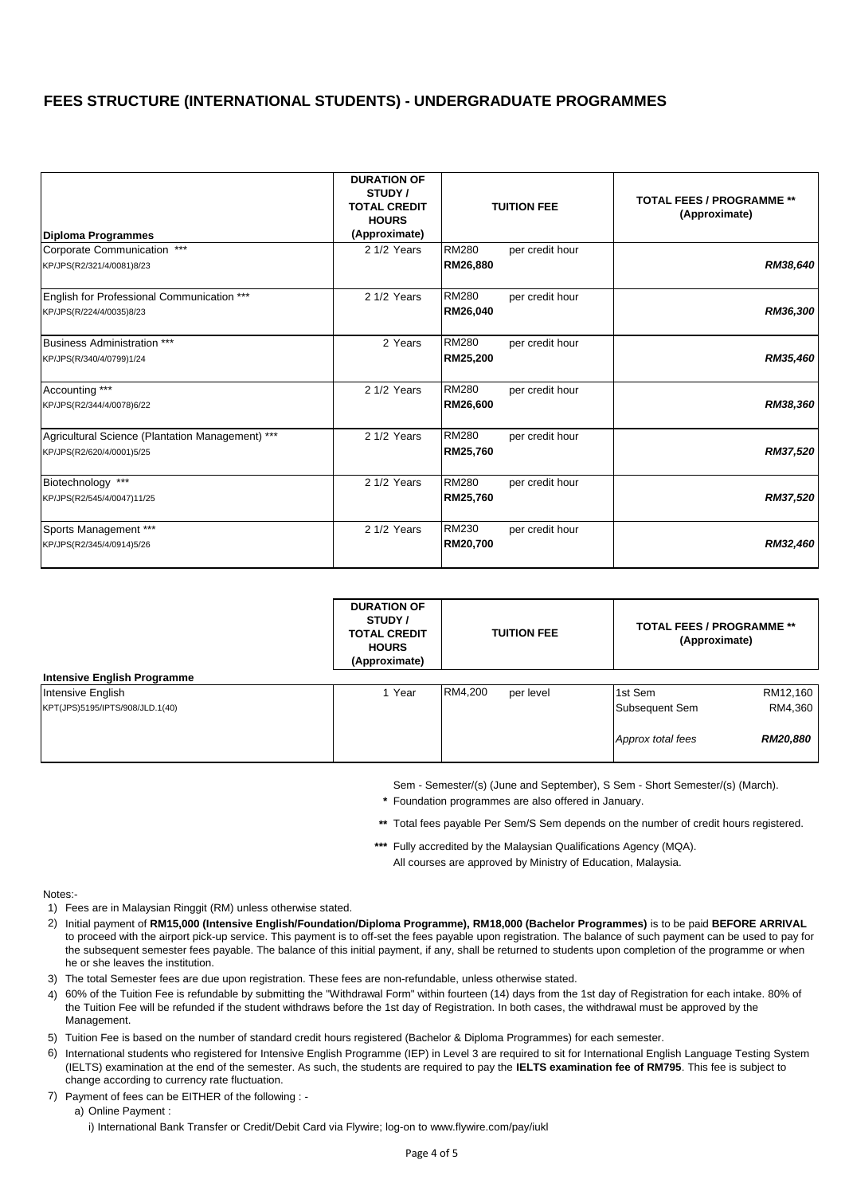| Diploma Programmes                               | <b>DURATION OF</b><br>STUDY /<br><b>TOTAL CREDIT</b><br><b>HOURS</b><br>(Approximate) |              | <b>TUITION FEE</b> | <b>TOTAL FEES / PROGRAMME **</b><br>(Approximate) |
|--------------------------------------------------|---------------------------------------------------------------------------------------|--------------|--------------------|---------------------------------------------------|
| Corporate Communication ***                      | 2 1/2 Years                                                                           | <b>RM280</b> | per credit hour    |                                                   |
| KP/JPS(R2/321/4/0081)8/23                        |                                                                                       | RM26,880     |                    | RM38,640                                          |
| English for Professional Communication ***       | 2 1/2 Years                                                                           | <b>RM280</b> | per credit hour    |                                                   |
| KP/JPS(R/224/4/0035)8/23                         |                                                                                       | RM26,040     |                    | RM36,300                                          |
| <b>Business Administration ***</b>               | 2 Years                                                                               | <b>RM280</b> | per credit hour    |                                                   |
| KP/JPS(R/340/4/0799)1/24                         |                                                                                       | RM25,200     |                    | RM35,460                                          |
| Accounting ***                                   | 2 1/2 Years                                                                           | <b>RM280</b> | per credit hour    |                                                   |
| KP/JPS(R2/344/4/0078)6/22                        |                                                                                       | RM26,600     |                    | RM38,360                                          |
| Agricultural Science (Plantation Management) *** | 2 1/2 Years                                                                           | <b>RM280</b> | per credit hour    |                                                   |
| KP/JPS(R2/620/4/0001)5/25                        |                                                                                       | RM25,760     |                    | RM37,520                                          |
| Biotechnology ***                                | 2 1/2 Years                                                                           | <b>RM280</b> | per credit hour    |                                                   |
| KP/JPS(R2/545/4/0047)11/25                       |                                                                                       | RM25,760     |                    | RM37,520                                          |
| Sports Management ***                            | 2 1/2 Years                                                                           | RM230        | per credit hour    |                                                   |
| KP/JPS(R2/345/4/0914)5/26                        |                                                                                       | RM20,700     |                    | RM32,460                                          |

|                                    | <b>DURATION OF</b><br>STUDY /<br><b>TOTAL CREDIT</b><br><b>HOURS</b><br>(Approximate) | <b>TUITION FEE</b>   | <b>TOTAL FEES / PROGRAMME **</b><br>(Approximate) |
|------------------------------------|---------------------------------------------------------------------------------------|----------------------|---------------------------------------------------|
| <b>Intensive English Programme</b> |                                                                                       |                      |                                                   |
| Intensive English                  | 1 Year                                                                                | RM4.200<br>per level | RM12,160<br>1st Sem                               |
| KPT(JPS)5195/IPTS/908/JLD.1(40)    |                                                                                       |                      | RM4,360<br>Subsequent Sem                         |
|                                    |                                                                                       |                      | Approx total fees<br><b>RM20,880</b>              |

Sem - Semester/(s) (June and September), S Sem - Short Semester/(s) (March).

*\** Foundation programmes are also offered in January.

*\*\** Total fees payable Per Sem/S Sem depends on the number of credit hours registered.

*\*\*\** Fully accredited by the Malaysian Qualifications Agency (MQA). All courses are approved by Ministry of Education, Malaysia.

Notes:-

- 1) Fees are in Malaysian Ringgit (RM) unless otherwise stated.
- 2) Initial payment of **RM15,000 (Intensive English/Foundation/Diploma Programme), RM18,000 (Bachelor Programmes)** is to be paid **BEFORE ARRIVAL**  to proceed with the airport pick-up service. This payment is to off-set the fees payable upon registration. The balance of such payment can be used to pay for the subsequent semester fees payable. The balance of this initial payment, if any, shall be returned to students upon completion of the programme or when he or she leaves the institution.
- 3) The total Semester fees are due upon registration. These fees are non-refundable, unless otherwise stated.
- 4) 60% of the Tuition Fee is refundable by submitting the "Withdrawal Form" within fourteen (14) days from the 1st day of Registration for each intake. 80% of the Tuition Fee will be refunded if the student withdraws before the 1st day of Registration. In both cases, the withdrawal must be approved by the Management.
- 5) Tuition Fee is based on the number of standard credit hours registered (Bachelor & Diploma Programmes) for each semester.
- 6) International students who registered for Intensive English Programme (IEP) in Level 3 are required to sit for International English Language Testing System (IELTS) examination at the end of the semester. As such, the students are required to pay the **IELTS examination fee of RM795**. This fee is subject to change according to currency rate fluctuation.
- 7) Payment of fees can be EITHER of the following :
	- a) Online Payment :

i) International Bank Transfer or Credit/Debit Card via Flywire; log-on to www.flywire.com/pay/iukl